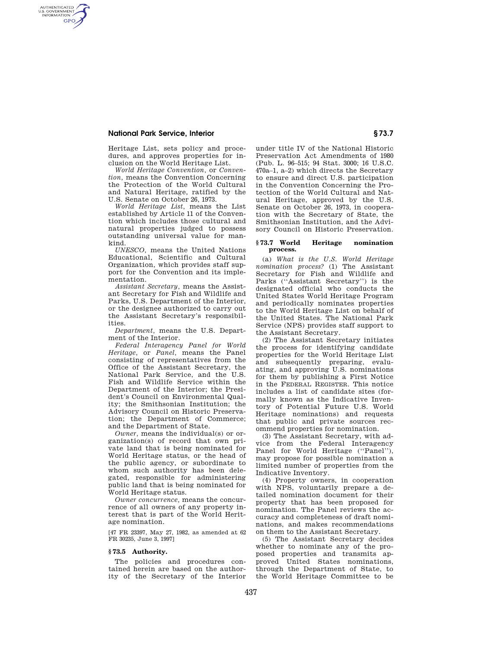### **National Park Service, Interior § 73.7**

AUTHENTICATED<br>U.S. GOVERNMENT<br>INFORMATION **GPO** 

> Heritage List, sets policy and procedures, and approves properties for inclusion on the World Heritage List.

*World Heritage Convention,* or *Convention,* means the Convention Concerning the Protection of the World Cultural and Natural Heritage, ratified by the U.S. Senate on October 26, 1973.

*World Heritage List,* means the List established by Article 11 of the Convention which includes those cultural and natural properties judged to possess outstanding universal value for mankind.

*UNESCO,* means the United Nations Educational, Scientific and Cultural Organization, which provides staff support for the Convention and its implementation.

*Assistant Secretary,* means the Assistant Secretary for Fish and Wildlife and Parks, U.S. Department of the Interior, or the designee authorized to carry out the Assistant Secretary's responsibilities.

*Department,* means the U.S. Department of the Interior.

*Federal Interagency Panel for World Heritage,* or *Panel,* means the Panel consisting of representatives from the Office of the Assistant Secretary, the National Park Service, and the U.S. Fish and Wildlife Service within the Department of the Interior; the President's Council on Environmental Quality; the Smithsonian Institution; the Advisory Council on Historic Preservation; the Department of Commerce; and the Department of State.

*Owner,* means the individual(s) or organization(s) of record that own private land that is being nominated for World Heritage status, or the head of the public agency, or subordinate to whom such authority has been delegated, responsible for administering public land that is being nominated for World Heritage status.

*Owner concurrence,* means the concurrence of all owners of any property interest that is part of the World Heritage nomination.

[47 FR 23397, May 27, 1982, as amended at 62 FR 30235, June 3, 1997]

#### **§ 73.5 Authority.**

The policies and procedures contained herein are based on the authority of the Secretary of the Interior

under title IV of the National Historic Preservation Act Amendments of 1980 (Pub. L. 96–515; 94 Stat. 3000; 16 U.S.C. 470a–1, a–2) which directs the Secretary to ensure and direct U.S. participation in the Convention Concerning the Protection of the World Cultural and Natural Heritage, approved by the U.S. Senate on October 26, 1973, in cooperation with the Secretary of State, the Smithsonian Institution, and the Advisory Council on Historic Preservation.

### **§ 73.7 World Heritage nomination process.**

(a) *What is the U.S. World Heritage nomination process?* (1) The Assistant Secretary for Fish and Wildlife and Parks (''Assistant Secretary'') is the designated official who conducts the United States World Heritage Program and periodically nominates properties to the World Heritage List on behalf of the United States. The National Park Service (NPS) provides staff support to the Assistant Secretary.

(2) The Assistant Secretary initiates the process for identifying candidate properties for the World Heritage List and subsequently preparing, evaluating, and approving U.S. nominations for them by publishing a First Notice in the FEDERAL REGISTER. This notice includes a list of candidate sites (formally known as the Indicative Inventory of Potential Future U.S. World Heritage nominations) and requests that public and private sources recommend properties for nomination.

(3) The Assistant Secretary, with advice from the Federal Interagency Panel for World Heritage ("Panel"), may propose for possible nomination a limited number of properties from the Indicative Inventory.

(4) Property owners, in cooperation with NPS, voluntarily prepare a detailed nomination document for their property that has been proposed for nomination. The Panel reviews the accuracy and completeness of draft nominations, and makes recommendations on them to the Assistant Secretary.

(5) The Assistant Secretary decides whether to nominate any of the proposed properties and transmits approved United States nominations, through the Department of State, to the World Heritage Committee to be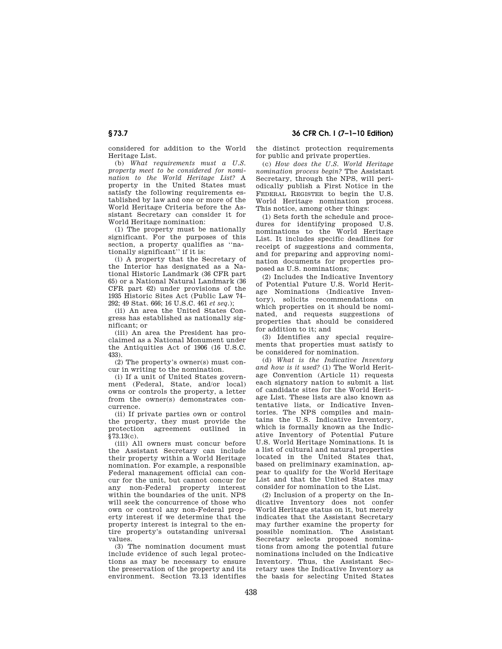## **§ 73.7 36 CFR Ch. I (7–1–10 Edition)**

considered for addition to the World Heritage List.

(b) *What requirements must a U.S. property meet to be considered for nomination to the World Heritage List?* A property in the United States must satisfy the following requirements established by law and one or more of the World Heritage Criteria before the Assistant Secretary can consider it for World Heritage nomination:

(1) The property must be nationally significant. For the purposes of this section, a property qualifies as ''nationally significant'' if it is:

(i) A property that the Secretary of the Interior has designated as a National Historic Landmark (36 CFR part 65) or a National Natural Landmark (36 CFR part 62) under provisions of the 1935 Historic Sites Act (Public Law 74– 292; 49 Stat. 666; 16 U.S.C. 461 *et seq.*);

(ii) An area the United States Congress has established as nationally significant; or

(iii) An area the President has proclaimed as a National Monument under the Antiquities Act of 1906 (16 U.S.C. 433).

(2) The property's owner(s) must concur in writing to the nomination.

(i) If a unit of United States government (Federal, State, and/or local) owns or controls the property, a letter from the owner(s) demonstrates concurrence.

(ii) If private parties own or control the property, they must provide the protection agreement outlined in §73.13(c).

(iii) All owners must concur before the Assistant Secretary can include their property within a World Heritage nomination. For example, a responsible Federal management official can concur for the unit, but cannot concur for any non-Federal property interest within the boundaries of the unit. NPS will seek the concurrence of those who own or control any non-Federal property interest if we determine that the property interest is integral to the entire property's outstanding universal values.

(3) The nomination document must include evidence of such legal protections as may be necessary to ensure the preservation of the property and its environment. Section 73.13 identifies the distinct protection requirements for public and private properties.

(c) *How does the U.S. World Heritage nomination process begin?* The Assistant Secretary, through the NPS, will periodically publish a First Notice in the FEDERAL REGISTER to begin the U.S. World Heritage nomination process. This notice, among other things:

(1) Sets forth the schedule and procedures for identifying proposed U.S. nominations to the World Heritage List. It includes specific deadlines for receipt of suggestions and comments, and for preparing and approving nomination documents for properties proposed as U.S. nominations;

(2) Includes the Indicative Inventory of Potential Future U.S. World Heritage Nominations (Indicative Inventory), solicits recommendations on which properties on it should be nominated, and requests suggestions of properties that should be considered for addition to it; and

(3) Identifies any special requirements that properties must satisfy to be considered for nomination.

(d) *What is the Indicative Inventory and how is it used?* (1) The World Heritage Convention (Article 11) requests each signatory nation to submit a list of candidate sites for the World Heritage List. These lists are also known as tentative lists, or Indicative Inventories. The NPS compiles and maintains the U.S. Indicative Inventory, which is formally known as the Indicative Inventory of Potential Future U.S. World Heritage Nominations. It is a list of cultural and natural properties located in the United States that, based on preliminary examination, appear to qualify for the World Heritage List and that the United States may consider for nomination to the List.

(2) Inclusion of a property on the Indicative Inventory does not confer World Heritage status on it, but merely indicates that the Assistant Secretary may further examine the property for possible nomination. The Assistant Secretary selects proposed nominations from among the potential future nominations included on the Indicative Inventory. Thus, the Assistant Secretary uses the Indicative Inventory as the basis for selecting United States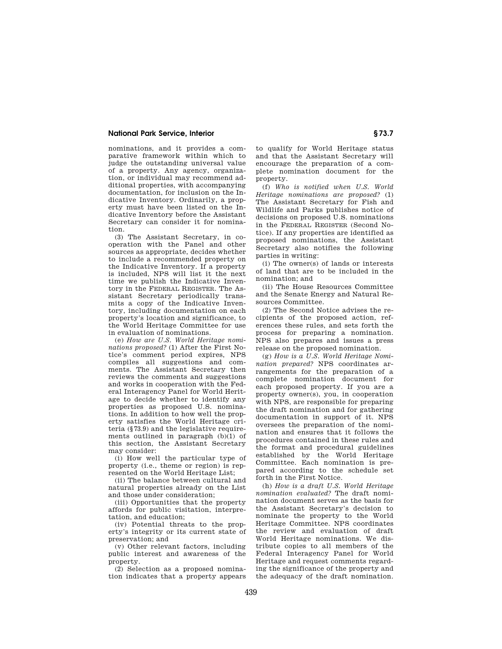### **National Park Service, Interior § 73.7**

nominations, and it provides a comparative framework within which to judge the outstanding universal value of a property. Any agency, organization, or individual may recommend additional properties, with accompanying documentation, for inclusion on the Indicative Inventory. Ordinarily, a property must have been listed on the Indicative Inventory before the Assistant Secretary can consider it for nomination.

(3) The Assistant Secretary, in cooperation with the Panel and other sources as appropriate, decides whether to include a recommended property on the Indicative Inventory. If a property is included, NPS will list it the next time we publish the Indicative Inventory in the FEDERAL REGISTER. The Assistant Secretary periodically transmits a copy of the Indicative Inventory, including documentation on each property's location and significance, to the World Heritage Committee for use in evaluation of nominations.

(e) *How are U.S. World Heritage nominations proposed?* (1) After the First Notice's comment period expires, NPS compiles all suggestions and comments. The Assistant Secretary then reviews the comments and suggestions and works in cooperation with the Federal Interagency Panel for World Heritage to decide whether to identify any properties as proposed U.S. nominations. In addition to how well the property satisfies the World Heritage criteria (§73.9) and the legislative requirements outlined in paragraph (b)(1) of this section, the Assistant Secretary may consider:

(i) How well the particular type of property (i.e., theme or region) is represented on the World Heritage List;

(ii) The balance between cultural and natural properties already on the List and those under consideration;

(iii) Opportunities that the property affords for public visitation, interpretation, and education;

(iv) Potential threats to the property's integrity or its current state of preservation; and

(v) Other relevant factors, including public interest and awareness of the property.

(2) Selection as a proposed nomination indicates that a property appears

to qualify for World Heritage status and that the Assistant Secretary will encourage the preparation of a complete nomination document for the property.

(f) *Who is notified when U.S. World Heritage nominations are proposed?* (1) The Assistant Secretary for Fish and Wildlife and Parks publishes notice of decisions on proposed U.S. nominations in the FEDERAL REGISTER (Second Notice). If any properties are identified as proposed nominations, the Assistant Secretary also notifies the following parties in writing:

(i) The owner(s) of lands or interests of land that are to be included in the nomination; and

(ii) The House Resources Committee and the Senate Energy and Natural Resources Committee.

(2) The Second Notice advises the recipients of the proposed action, references these rules, and sets forth the process for preparing a nomination. NPS also prepares and issues a press release on the proposed nomination.

(g) *How is a U.S. World Heritage Nomination prepared?* NPS coordinates arrangements for the preparation of a complete nomination document for each proposed property. If you are a property owner(s), you, in cooperation with NPS, are responsible for preparing the draft nomination and for gathering documentation in support of it. NPS oversees the preparation of the nomination and ensures that it follows the procedures contained in these rules and the format and procedural guidelines established by the World Heritage Committee. Each nomination is prepared according to the schedule set forth in the First Notice.

(h) *How is a draft U.S. World Heritage nomination evaluated?* The draft nomination document serves as the basis for the Assistant Secretary's decision to nominate the property to the World Heritage Committee. NPS coordinates the review and evaluation of draft World Heritage nominations. We distribute copies to all members of the Federal Interagency Panel for World Heritage and request comments regarding the significance of the property and the adequacy of the draft nomination.